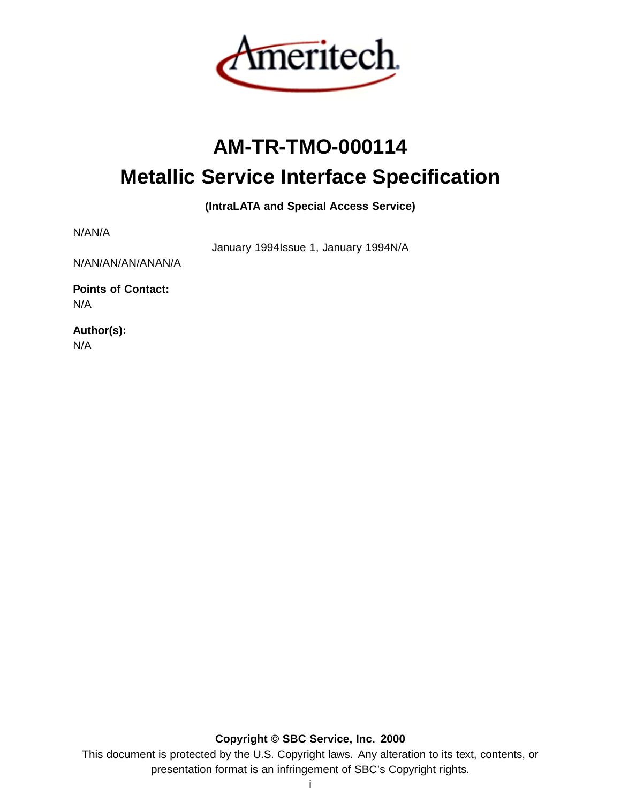

# **AM-TR-TMO-000114 Metallic Service Interface Specification**

**(IntraLATA and Special Access Service)**

N/AN/A

January 1994Issue 1, January 1994N/A

N/AN/AN/AN/ANAN/A

**Points of Contact:** N/A

**Author(s):** N/A

**Copyright © SBC Service, Inc. 2000**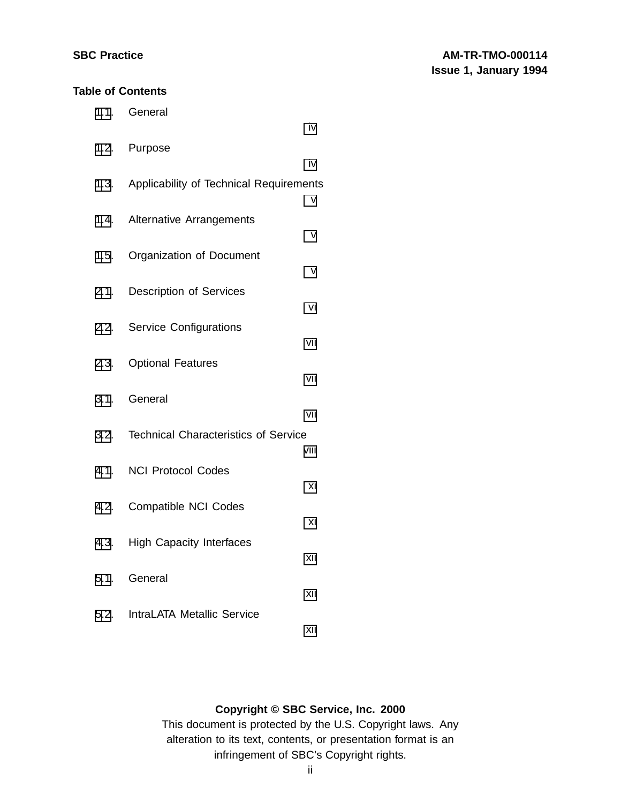#### **Table of Contents**

| 1.1. General                                 |      |
|----------------------------------------------|------|
|                                              | iv   |
| 1.2. Purpose                                 | iv   |
| 1.3. Applicability of Technical Requirements |      |
| 1.4. Alternative Arrangements                | ٧    |
| 1.5. Organization of Document                | v    |
| 2.1. Description of Services                 | v    |
|                                              | vi   |
| 2.2. Service Configurations                  | vii  |
| 2.3. Optional Features                       | vii  |
| 3.1. General                                 | vii  |
| 3.2. Technical Characteristics of Service    |      |
|                                              | viii |
| 4.1. NCI Protocol Codes                      | xi   |
| 4.2. Compatible NCI Codes                    |      |
| 4.3. High Capacity Interfaces                | xi   |
|                                              | xii  |
| 5.1. General                                 | xii  |
| 5.2. IntraLATA Metallic Service              |      |
|                                              | xii  |

# **Copyright © SBC Service, Inc. 2000**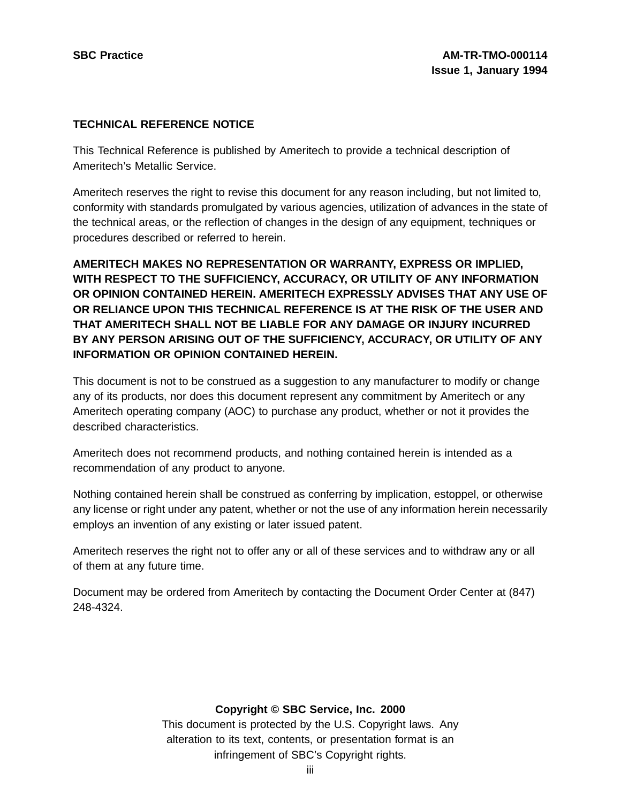#### **TECHNICAL REFERENCE NOTICE**

This Technical Reference is published by Ameritech to provide a technical description of Ameritech's Metallic Service.

Ameritech reserves the right to revise this document for any reason including, but not limited to, conformity with standards promulgated by various agencies, utilization of advances in the state of the technical areas, or the reflection of changes in the design of any equipment, techniques or procedures described or referred to herein.

**AMERITECH MAKES NO REPRESENTATION OR WARRANTY, EXPRESS OR IMPLIED, WITH RESPECT TO THE SUFFICIENCY, ACCURACY, OR UTILITY OF ANY INFORMATION OR OPINION CONTAINED HEREIN. AMERITECH EXPRESSLY ADVISES THAT ANY USE OF OR RELIANCE UPON THIS TECHNICAL REFERENCE IS AT THE RISK OF THE USER AND THAT AMERITECH SHALL NOT BE LIABLE FOR ANY DAMAGE OR INJURY INCURRED BY ANY PERSON ARISING OUT OF THE SUFFICIENCY, ACCURACY, OR UTILITY OF ANY INFORMATION OR OPINION CONTAINED HEREIN.**

This document is not to be construed as a suggestion to any manufacturer to modify or change any of its products, nor does this document represent any commitment by Ameritech or any Ameritech operating company (AOC) to purchase any product, whether or not it provides the described characteristics.

Ameritech does not recommend products, and nothing contained herein is intended as a recommendation of any product to anyone.

Nothing contained herein shall be construed as conferring by implication, estoppel, or otherwise any license or right under any patent, whether or not the use of any information herein necessarily employs an invention of any existing or later issued patent.

Ameritech reserves the right not to offer any or all of these services and to withdraw any or all of them at any future time.

Document may be ordered from Ameritech by contacting the Document Order Center at (847) 248-4324.

# **Copyright © SBC Service, Inc. 2000**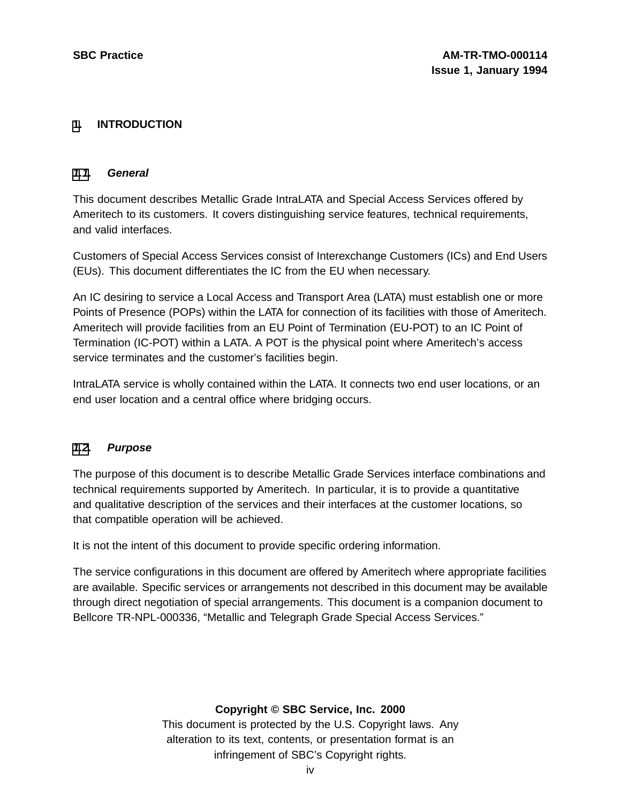### **[1](#page-3-0). INTRODUCTION**

#### **[1.1](#page-3-0). General**

This document describes Metallic Grade IntraLATA and Special Access Services offered by Ameritech to its customers. It covers distinguishing service features, technical requirements, and valid interfaces.

Customers of Special Access Services consist of Interexchange Customers (ICs) and End Users (EUs). This document differentiates the IC from the EU when necessary.

An IC desiring to service a Local Access and Transport Area (LATA) must establish one or more Points of Presence (POPs) within the LATA for connection of its facilities with those of Ameritech. Ameritech will provide facilities from an EU Point of Termination (EU-POT) to an IC Point of Termination (IC-POT) within a LATA. A POT is the physical point where Ameritech's access service terminates and the customer's facilities begin.

IntraLATA service is wholly contained within the LATA. It connects two end user locations, or an end user location and a central office where bridging occurs.

#### **[1.2](#page-3-0). Purpose**

The purpose of this document is to describe Metallic Grade Services interface combinations and technical requirements supported by Ameritech. In particular, it is to provide a quantitative and qualitative description of the services and their interfaces at the customer locations, so that compatible operation will be achieved.

It is not the intent of this document to provide specific ordering information.

The service configurations in this document are offered by Ameritech where appropriate facilities are available. Specific services or arrangements not described in this document may be available through direct negotiation of special arrangements. This document is a companion document to Bellcore TR-NPL-000336, "Metallic and Telegraph Grade Special Access Services."

#### <span id="page-3-0"></span>**Copyright © SBC Service, Inc. 2000**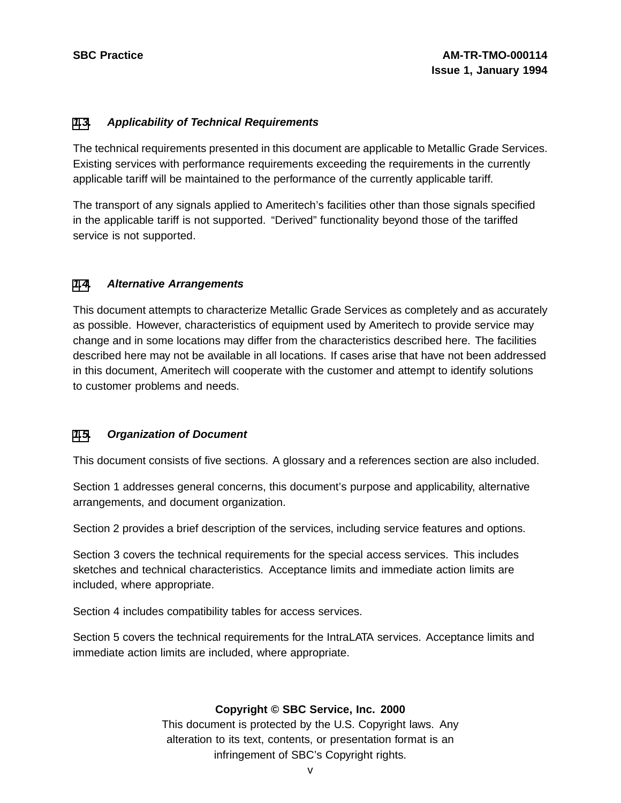#### **[1](#page-3-0)[.3](#page-4-0). Applicability of Technical Requirements**

The technical requirements presented in this document are applicable to Metallic Grade Services. Existing services with performance requirements exceeding the requirements in the currently applicable tariff will be maintained to the performance of the currently applicable tariff.

The transport of any signals applied to Ameritech's facilities other than those signals specified in the applicable tariff is not supported. "Derived" functionality beyond those of the tariffed service is not supported.

#### **[1](#page-3-0)[.4](#page-4-0). Alternative Arrangements**

This document attempts to characterize Metallic Grade Services as completely and as accurately as possible. However, characteristics of equipment used by Ameritech to provide service may change and in some locations may differ from the characteristics described here. The facilities described here may not be available in all locations. If cases arise that have not been addressed in this document, Ameritech will cooperate with the customer and attempt to identify solutions to customer problems and needs.

#### **[1](#page-3-0)[.5](#page-4-0). Organization of Document**

This document consists of five sections. A glossary and a references section are also included.

Section 1 addresses general concerns, this document's purpose and applicability, alternative arrangements, and document organization.

Section 2 provides a brief description of the services, including service features and options.

Section 3 covers the technical requirements for the special access services. This includes sketches and technical characteristics. Acceptance limits and immediate action limits are included, where appropriate.

Section 4 includes compatibility tables for access services.

<span id="page-4-0"></span>Section 5 covers the technical requirements for the IntraLATA services. Acceptance limits and immediate action limits are included, where appropriate.

#### **Copyright © SBC Service, Inc. 2000**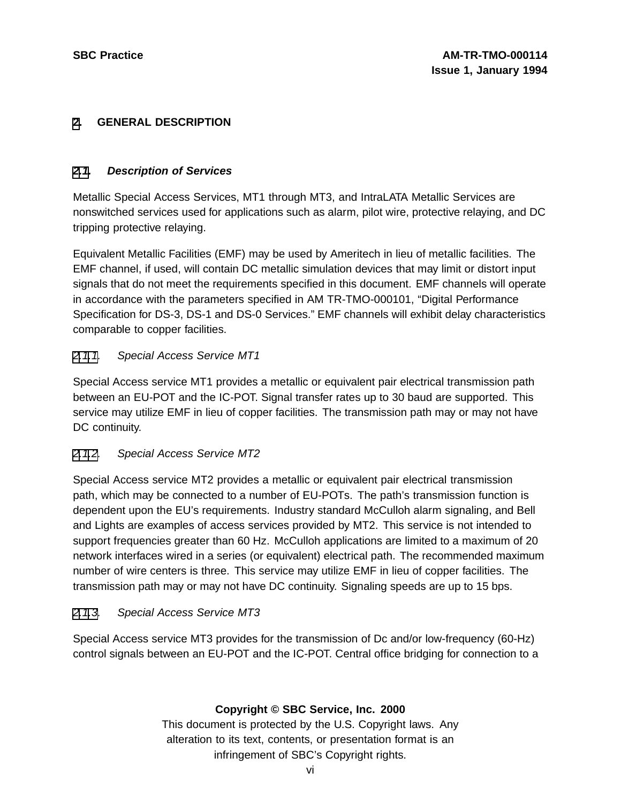# **[2](#page-5-0). GENERAL DESCRIPTION**

### **[2.1](#page-5-0). Description of Services**

Metallic Special Access Services, MT1 through MT3, and IntraLATA Metallic Services are nonswitched services used for applications such as alarm, pilot wire, protective relaying, and DC tripping protective relaying.

Equivalent Metallic Facilities (EMF) may be used by Ameritech in lieu of metallic facilities. The EMF channel, if used, will contain DC metallic simulation devices that may limit or distort input signals that do not meet the requirements specified in this document. EMF channels will operate in accordance with the parameters specified in AM TR-TMO-000101, "Digital Performance Specification for DS-3, DS-1 and DS-0 Services." EMF channels will exhibit delay characteristics comparable to copper facilities.

# [2.1.1](#page-5-0). Special Access Service MT1

Special Access service MT1 provides a metallic or equivalent pair electrical transmission path between an EU-POT and the IC-POT. Signal transfer rates up to 30 baud are supported. This service may utilize EMF in lieu of copper facilities. The transmission path may or may not have DC continuity.

# [2.1.2](#page-5-0). Special Access Service MT2

Special Access service MT2 provides a metallic or equivalent pair electrical transmission path, which may be connected to a number of EU-POTs. The path's transmission function is dependent upon the EU's requirements. Industry standard McCulloh alarm signaling, and Bell and Lights are examples of access services provided by MT2. This service is not intended to support frequencies greater than 60 Hz. McCulloh applications are limited to a maximum of 20 network interfaces wired in a series (or equivalent) electrical path. The recommended maximum number of wire centers is three. This service may utilize EMF in lieu of copper facilities. The transmission path may or may not have DC continuity. Signaling speeds are up to 15 bps.

#### [2.1.3](#page-5-0). Special Access Service MT3

<span id="page-5-0"></span>Special Access service MT3 provides for the transmission of Dc and/or low-frequency (60-Hz) control signals between an EU-POT and the IC-POT. Central office bridging for connection to a

# **Copyright © SBC Service, Inc. 2000**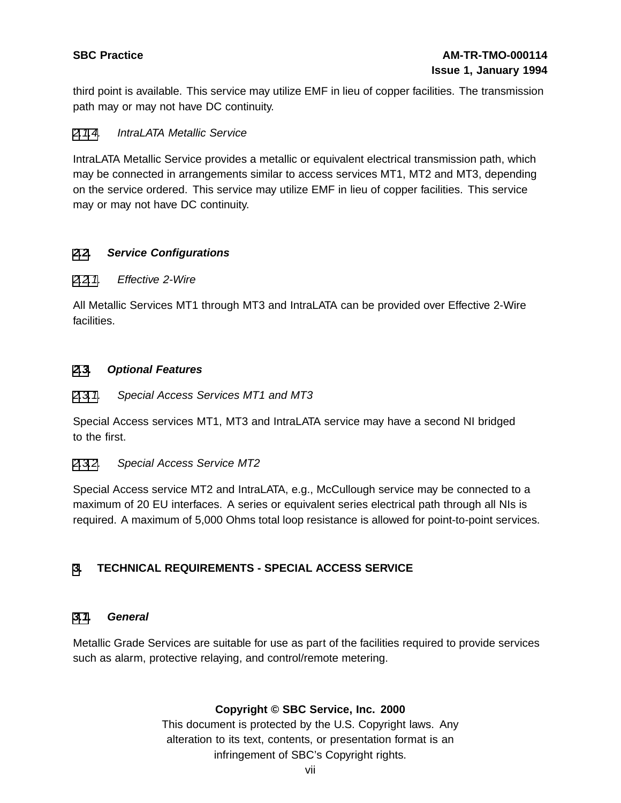third point is available. This service may utilize EMF in lieu of copper facilities. The transmission path may or may not have DC continuity.

### [2.1](#page-5-0)[.4](#page-6-0). IntraLATA Metallic Service

IntraLATA Metallic Service provides a metallic or equivalent electrical transmission path, which may be connected in arrangements similar to access services MT1, MT2 and MT3, depending on the service ordered. This service may utilize EMF in lieu of copper facilities. This service may or may not have DC continuity.

# **[2](#page-5-0)[.2](#page-6-0). Service Configurations**

#### [2](#page-5-0)[.2.1](#page-6-0). Effective 2-Wire

All Metallic Services MT1 through MT3 and IntraLATA can be provided over Effective 2-Wire facilities.

#### **[2](#page-5-0)[.3](#page-6-0). Optional Features**

[2](#page-5-0)[.3.1](#page-6-0). Special Access Services MT1 and MT3

Special Access services MT1, MT3 and IntraLATA service may have a second NI bridged to the first.

#### [2](#page-5-0)[.3.2](#page-6-0). Special Access Service MT2

Special Access service MT2 and IntraLATA, e.g., McCullough service may be connected to a maximum of 20 EU interfaces. A series or equivalent series electrical path through all NIs is required. A maximum of 5,000 Ohms total loop resistance is allowed for point-to-point services.

# **[3](#page-6-0). TECHNICAL REQUIREMENTS - SPECIAL ACCESS SERVICE**

#### **[3.1](#page-6-0). General**

<span id="page-6-0"></span>Metallic Grade Services are suitable for use as part of the facilities required to provide services such as alarm, protective relaying, and control/remote metering.

# **Copyright © SBC Service, Inc. 2000**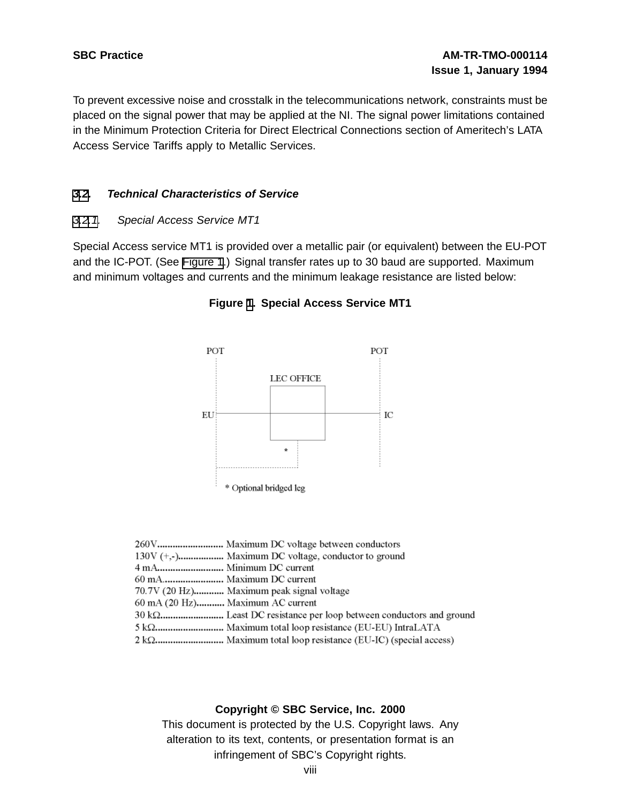To prevent excessive noise and crosstalk in the telecommunications network, constraints must be placed on the signal power that may be applied at the NI. The signal power limitations contained in the Minimum Protection Criteria for Direct Electrical Connections section of Ameritech's LATA Access Service Tariffs apply to Metallic Services.

#### **[3](#page-6-0)[.2](#page-7-0). Technical Characteristics of Service**

#### [3](#page-6-0)[.2.1](#page-7-0). Special Access Service MT1

Special Access service MT1 is provided over a metallic pair (or equivalent) between the EU-POT and the IC-POT. (See [Figure](#page-7-0) 1.) Signal transfer rates up to 30 baud are supported. Maximum and minimum voltages and currents and the minimum leakage resistance are listed below:



#### **Figure [1](#page-7-0). Special Access Service MT1**

|     | 260V Maximum DC voltage between conductors                       |
|-----|------------------------------------------------------------------|
|     |                                                                  |
|     |                                                                  |
|     | 60 mA Maximum DC current                                         |
|     | 70.7V (20 Hz) Maximum peak signal voltage                        |
|     | 60 mA (20 Hz) Maximum AC current                                 |
|     | 30 kΩ Least DC resistance per loop between conductors and ground |
|     | 5 kΩ Maximum total loop resistance (EU-EU) IntraLATA             |
| 210 | Maximum total laga societango (ELLIC) (engaial second)           |

<span id="page-7-0"></span>2 kΩ.............................. Maximum total loop resistance (EU-IC) (special access)

#### **Copyright © SBC Service, Inc. 2000**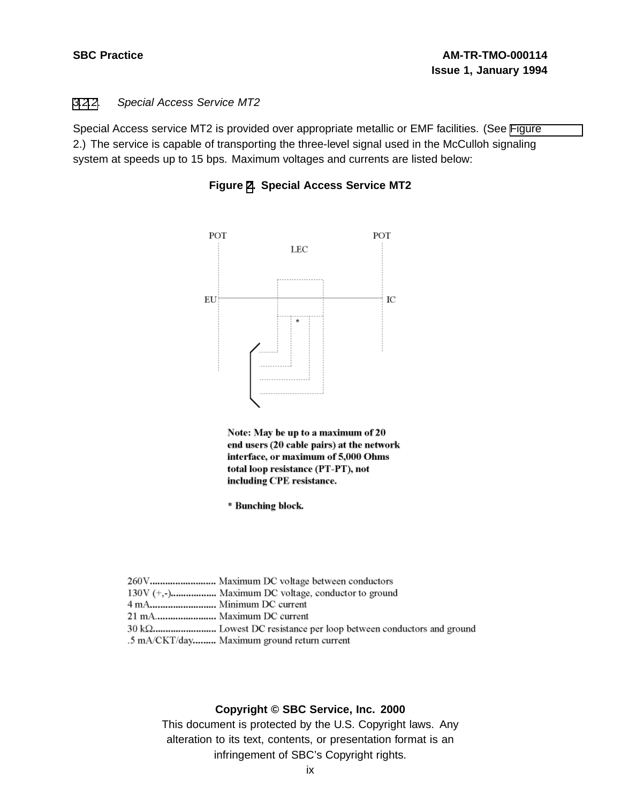#### [3](#page-6-0)[.2](#page-7-0)[.2](#page-8-0). Special Access Service MT2

Special Access service MT2 is provided over appropriate metallic or EMF facilities. (See [Figure](#page-8-0) 2.) The service is capable of transporting the three-level signal used in the McCulloh signaling system at speeds up to 15 bps. Maximum voltages and currents are listed below:





| 260V Maximum DC voltage between conductors  |
|---------------------------------------------|
|                                             |
|                                             |
| 21 mA Maximum DC current                    |
|                                             |
| .5 mA/CKT/day Maximum ground return current |

#### <span id="page-8-0"></span>**Copyright © SBC Service, Inc. 2000**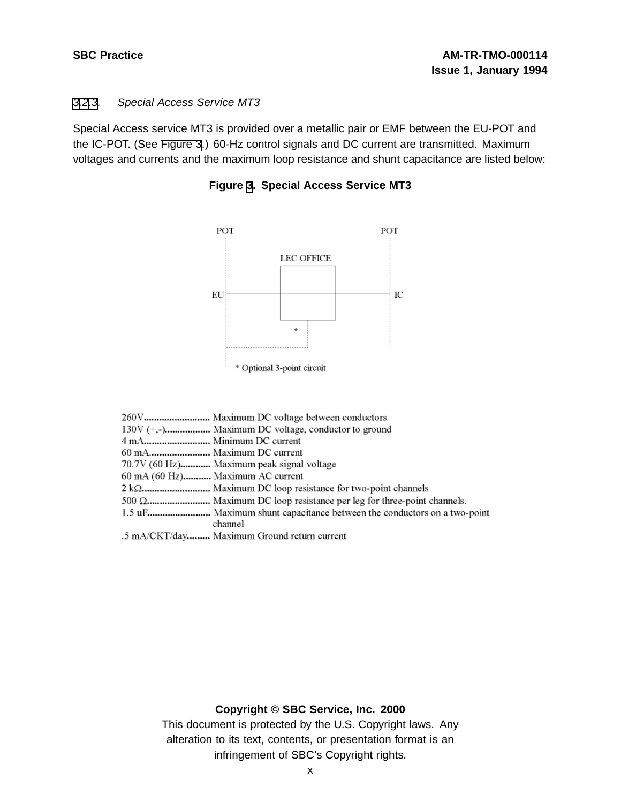#### [3](#page-6-0)[.2](#page-7-0)[.3](#page-9-0). Special Access Service MT3

Special Access service MT3 is provided over a metallic pair or EMF between the EU-POT and the IC-POT. (See [Figure](#page-9-0) 3.) 60-Hz control signals and DC current are transmitted. Maximum voltages and currents and the maximum loop resistance and shunt capacitance are listed below:



**Figure [3](#page-9-0). Special Access Service MT3**

| 70.7V (60 Hz) Maximum peak signal voltage                          |
|--------------------------------------------------------------------|
| 60 mA (60 Hz) Maximum AC current                                   |
|                                                                    |
| 500 Ω Maximum DC loop resistance per leg for three-point channels. |
|                                                                    |
| channel                                                            |
| .5 mA/CKT/day Maximum Ground return current                        |

#### <span id="page-9-0"></span>**Copyright © SBC Service, Inc. 2000**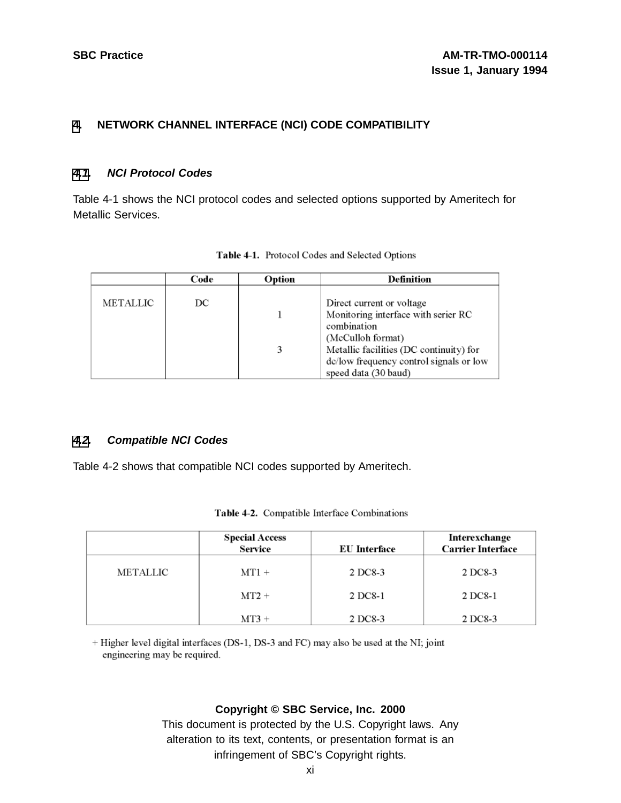# **[4](#page-10-0). NETWORK CHANNEL INTERFACE (NCI) CODE COMPATIBILITY**

#### **[4.1](#page-10-0). NCI Protocol Codes**

Table 4-1 shows the NCI protocol codes and selected options supported by Ameritech for Metallic Services.

|          | Code | Option | <b>Definition</b>                                                                                                                                                                                                  |
|----------|------|--------|--------------------------------------------------------------------------------------------------------------------------------------------------------------------------------------------------------------------|
| METALLIC | DC   | 3      | Direct current or voltage<br>Monitoring interface with serier RC<br>combination<br>(McCulloh format)<br>Metallic facilities (DC continuity) for<br>de/low frequency control signals or low<br>speed data (30 baud) |

| Table 4-1. Protocol Codes and Selected Options |  |  |  |  |  |
|------------------------------------------------|--|--|--|--|--|
|------------------------------------------------|--|--|--|--|--|

#### **[4.2](#page-10-0). Compatible NCI Codes**

Table 4-2 shows that compatible NCI codes supported by Ameritech.

|                 | <b>Special Access</b><br><b>Service</b> | <b>EU</b> Interface | Interexchange<br><b>Carrier Interface</b> |
|-----------------|-----------------------------------------|---------------------|-------------------------------------------|
| <b>METALLIC</b> | $MT1 +$                                 | 2 DC8-3             | 2 DC8-3                                   |
|                 | $MT2 +$                                 | 2 DC8-1             | 2 DC8-1                                   |
|                 | $MT3 +$                                 | 2 DC8-3             | 2 DC8-3                                   |

<span id="page-10-0"></span>+ Higher level digital interfaces (DS-1, DS-3 and FC) may also be used at the NI; joint engineering may be required.

#### **Copyright © SBC Service, Inc. 2000**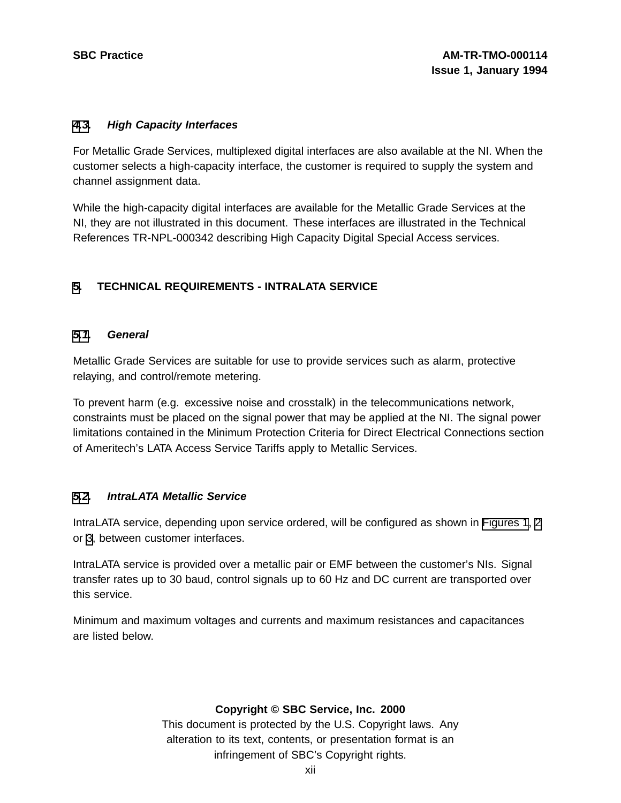#### **[4](#page-10-0)[.3](#page-11-0). High Capacity Interfaces**

For Metallic Grade Services, multiplexed digital interfaces are also available at the NI. When the customer selects a high-capacity interface, the customer is required to supply the system and channel assignment data.

While the high-capacity digital interfaces are available for the Metallic Grade Services at the NI, they are not illustrated in this document. These interfaces are illustrated in the Technical References TR-NPL-000342 describing High Capacity Digital Special Access services.

# **[5](#page-11-0). TECHNICAL REQUIREMENTS - INTRALATA SERVICE**

#### **[5.1](#page-11-0). General**

Metallic Grade Services are suitable for use to provide services such as alarm, protective relaying, and control/remote metering.

To prevent harm (e.g. excessive noise and crosstalk) in the telecommunications network, constraints must be placed on the signal power that may be applied at the NI. The signal power limitations contained in the Minimum Protection Criteria for Direct Electrical Connections section of Ameritech's LATA Access Service Tariffs apply to Metallic Services.

#### **[5.2](#page-11-0). IntraLATA Metallic Service**

IntraLATA service, depending upon service ordered, will be configured as shown in [Figures](#page-7-0) 1, [2](#page-8-0) or [3](#page-9-0), between customer interfaces.

IntraLATA service is provided over a metallic pair or EMF between the customer's NIs. Signal transfer rates up to 30 baud, control signals up to 60 Hz and DC current are transported over this service.

<span id="page-11-0"></span>Minimum and maximum voltages and currents and maximum resistances and capacitances are listed below.

# **Copyright © SBC Service, Inc. 2000**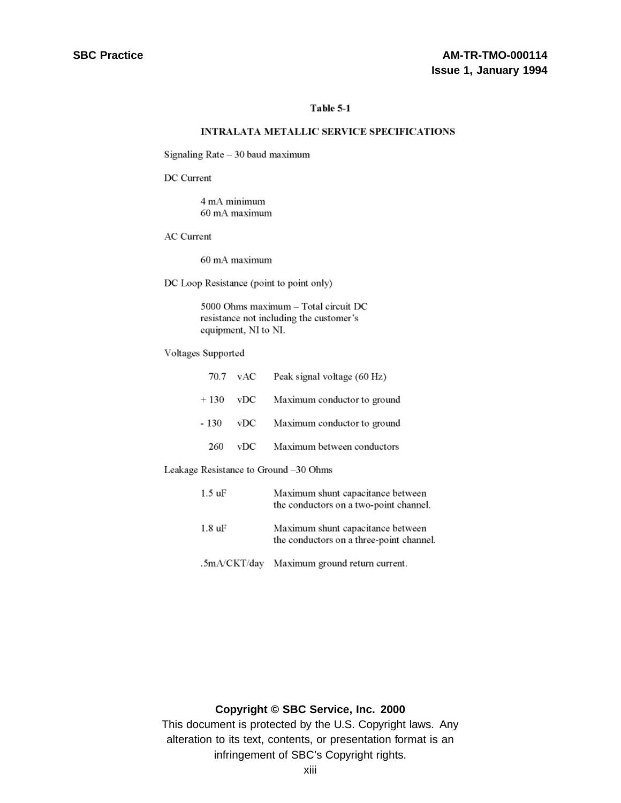#### Table 5-1

#### **INTRALATA METALLIC SERVICE SPECIFICATIONS**

Signaling Rate - 30 baud maximum

DC Current

4 mA minimum 60 mA maximum

**AC** Current

60 mA maximum

DC Loop Resistance (point to point only)

5000 Ohms maximum - Total circuit DC resistance not including the customer's equipment, NI to NI.

Voltages Supported

|       |     | 70.7 vAC Peak signal voltage (60 Hz)   |
|-------|-----|----------------------------------------|
|       |     | $+130$ vDC Maximum conductor to ground |
| - 130 |     | vDC Maximum conductor to ground        |
| 260   | vDC | Maximum between conductors             |

Leakage Resistance to Ground -30 Ohms

| 1.5 uF | Maximum shunt capacitance between<br>the conductors on a two-point channel.   |
|--------|-------------------------------------------------------------------------------|
| 1.8 uF | Maximum shunt capacitance between<br>the conductors on a three-point channel. |
|        | .5mA/CKT/day Maximum ground return current.                                   |

# **Copyright © SBC Service, Inc. 2000**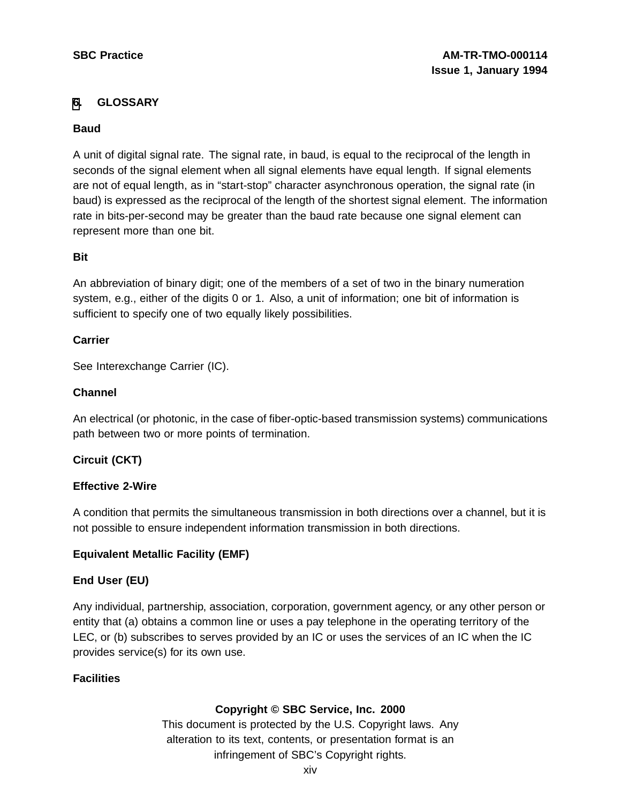# **[6](#page-13-0). GLOSSARY**

### **Baud**

A unit of digital signal rate. The signal rate, in baud, is equal to the reciprocal of the length in seconds of the signal element when all signal elements have equal length. If signal elements are not of equal length, as in "start-stop" character asynchronous operation, the signal rate (in baud) is expressed as the reciprocal of the length of the shortest signal element. The information rate in bits-per-second may be greater than the baud rate because one signal element can represent more than one bit.

#### **Bit**

An abbreviation of binary digit; one of the members of a set of two in the binary numeration system, e.g., either of the digits 0 or 1. Also, a unit of information; one bit of information is sufficient to specify one of two equally likely possibilities.

# **Carrier**

See Interexchange Carrier (IC).

# **Channel**

An electrical (or photonic, in the case of fiber-optic-based transmission systems) communications path between two or more points of termination.

# **Circuit (CKT)**

#### **Effective 2-Wire**

A condition that permits the simultaneous transmission in both directions over a channel, but it is not possible to ensure independent information transmission in both directions.

# **Equivalent Metallic Facility (EMF)**

# **End User (EU)**

Any individual, partnership, association, corporation, government agency, or any other person or entity that (a) obtains a common line or uses a pay telephone in the operating territory of the LEC, or (b) subscribes to serves provided by an IC or uses the services of an IC when the IC provides service(s) for its own use.

# <span id="page-13-0"></span>**Facilities**

# **Copyright © SBC Service, Inc. 2000**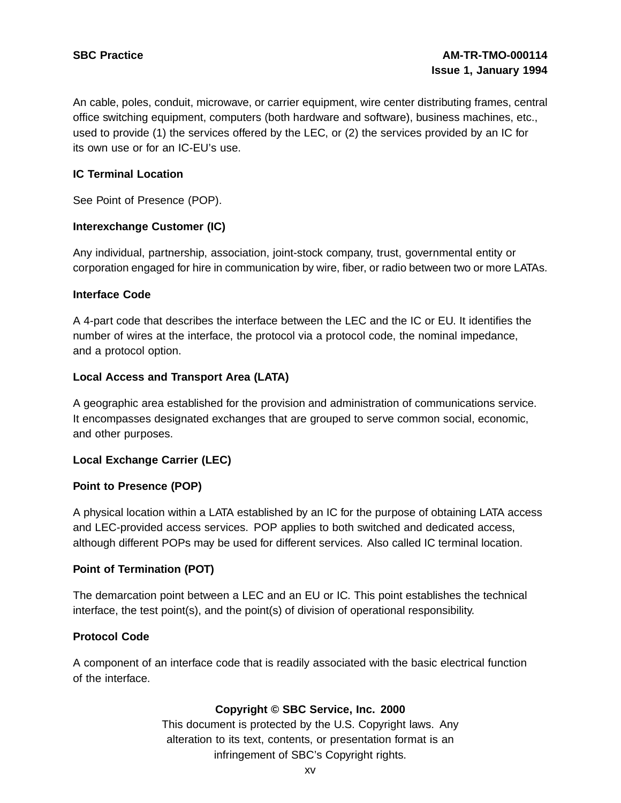An cable, poles, conduit, microwave, or carrier equipment, wire center distributing frames, central office switching equipment, computers (both hardware and software), business machines, etc., used to provide (1) the services offered by the LEC, or (2) the services provided by an IC for its own use or for an IC-EU's use.

### **IC Terminal Location**

See Point of Presence (POP).

#### **Interexchange Customer (IC)**

Any individual, partnership, association, joint-stock company, trust, governmental entity or corporation engaged for hire in communication by wire, fiber, or radio between two or more LATAs.

#### **Interface Code**

A 4-part code that describes the interface between the LEC and the IC or EU. It identifies the number of wires at the interface, the protocol via a protocol code, the nominal impedance, and a protocol option.

#### **Local Access and Transport Area (LATA)**

A geographic area established for the provision and administration of communications service. It encompasses designated exchanges that are grouped to serve common social, economic, and other purposes.

#### **Local Exchange Carrier (LEC)**

#### **Point to Presence (POP)**

A physical location within a LATA established by an IC for the purpose of obtaining LATA access and LEC-provided access services. POP applies to both switched and dedicated access, although different POPs may be used for different services. Also called IC terminal location.

#### **Point of Termination (POT)**

The demarcation point between a LEC and an EU or IC. This point establishes the technical interface, the test point(s), and the point(s) of division of operational responsibility.

#### **Protocol Code**

A component of an interface code that is readily associated with the basic electrical function of the interface.

# **Copyright © SBC Service, Inc. 2000**